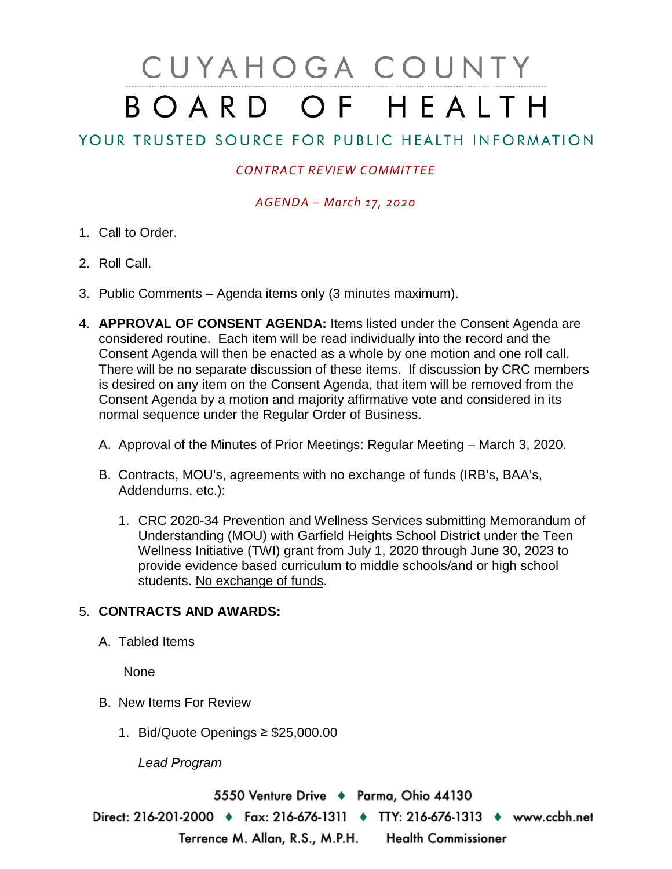# CUYAHOGA COUNTY BOARD OF HEALTH

## YOUR TRUSTED SOURCE FOR PUBLIC HEALTH INFORMATION

### *CONTRACT REVIEW COMMITTEE*

#### *AGENDA – March 17, 2020*

- 1. Call to Order.
- 2. Roll Call.
- 3. Public Comments Agenda items only (3 minutes maximum).
- 4. **APPROVAL OF CONSENT AGENDA:** Items listed under the Consent Agenda are considered routine. Each item will be read individually into the record and the Consent Agenda will then be enacted as a whole by one motion and one roll call. There will be no separate discussion of these items. If discussion by CRC members is desired on any item on the Consent Agenda, that item will be removed from the Consent Agenda by a motion and majority affirmative vote and considered in its normal sequence under the Regular Order of Business.
	- A. Approval of the Minutes of Prior Meetings: Regular Meeting March 3, 2020.
	- B. Contracts, MOU's, agreements with no exchange of funds (IRB's, BAA's, Addendums, etc.):
		- 1. CRC 2020-34 Prevention and Wellness Services submitting Memorandum of Understanding (MOU) with Garfield Heights School District under the Teen Wellness Initiative (TWI) grant from July 1, 2020 through June 30, 2023 to provide evidence based curriculum to middle schools/and or high school students. No exchange of funds.

### 5. **CONTRACTS AND AWARDS:**

A. Tabled Items

None

- B. New Items For Review
	- 1. Bid/Quote Openings ≥ \$25,000.00

*Lead Program*

5550 Venture Drive + Parma, Ohio 44130

Direct: 216-201-2000 ♦ Fax: 216-676-1311 ♦ TTY: 216-676-1313 ♦ www.ccbh.net Terrence M. Allan, R.S., M.P.H. Health Commissioner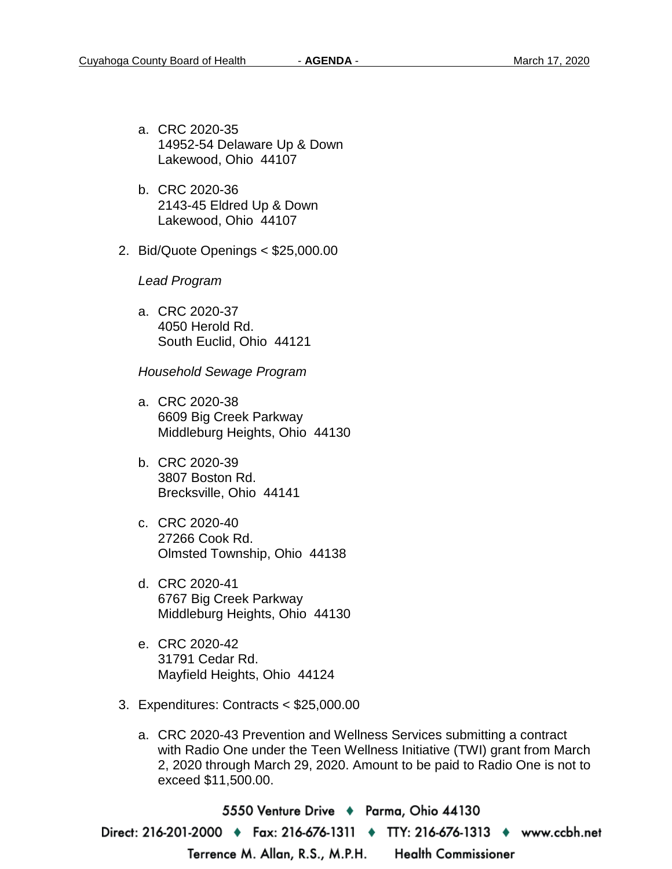- a. CRC 2020-35 14952-54 Delaware Up & Down Lakewood, Ohio 44107
- b. CRC 2020-36 2143-45 Eldred Up & Down Lakewood, Ohio 44107
- 2. Bid/Quote Openings < \$25,000.00

*Lead Program* 

a. CRC 2020-37 4050 Herold Rd. South Euclid, Ohio 44121

*Household Sewage Program* 

- a. CRC 2020-38 6609 Big Creek Parkway Middleburg Heights, Ohio 44130
- b. CRC 2020-39 3807 Boston Rd. Brecksville, Ohio 44141
- c. CRC 2020-40 27266 Cook Rd. Olmsted Township, Ohio 44138
- d. CRC 2020-41 6767 Big Creek Parkway Middleburg Heights, Ohio 44130
- e. CRC 2020-42 31791 Cedar Rd. Mayfield Heights, Ohio 44124
- 3. Expenditures: Contracts < \$25,000.00
	- a. CRC 2020-43 Prevention and Wellness Services submitting a contract with Radio One under the Teen Wellness Initiative (TWI) grant from March 2, 2020 through March 29, 2020. Amount to be paid to Radio One is not to exceed \$11,500.00.

5550 Venture Drive ♦ Parma, Ohio 44130 Direct: 216-201-2000 ♦ Fax: 216-676-1311 ♦ TTY: 216-676-1313 ♦ www.ccbh.net Terrence M. Allan, R.S., M.P.H. **Health Commissioner**